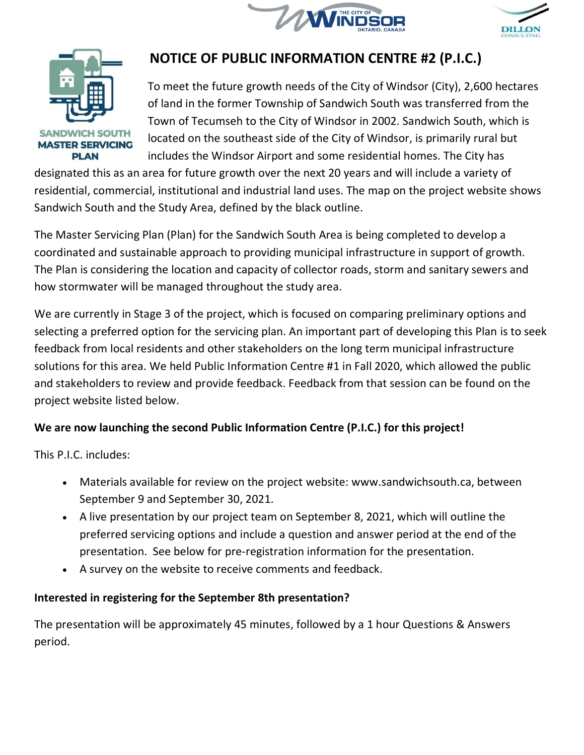





# **NOTICE OF PUBLIC INFORMATION CENTRE #2 (P.I.C.)**

To meet the future growth needs of the City of Windsor (City), 2,600 hectares of land in the former Township of Sandwich South was transferred from the Town of Tecumseh to the City of Windsor in 2002. Sandwich South, which is located on the southeast side of the City of Windsor, is primarily rural but includes the Windsor Airport and some residential homes. The City has

designated this as an area for future growth over the next 20 years and will include a variety of residential, commercial, institutional and industrial land uses. The map on the project website shows Sandwich South and the Study Area, defined by the black outline.

The Master Servicing Plan (Plan) for the Sandwich South Area is being completed to develop a coordinated and sustainable approach to providing municipal infrastructure in support of growth. The Plan is considering the location and capacity of collector roads, storm and sanitary sewers and how stormwater will be managed throughout the study area.

We are currently in Stage 3 of the project, which is focused on comparing preliminary options and selecting a preferred option for the servicing plan. An important part of developing this Plan is to seek feedback from local residents and other stakeholders on the long term municipal infrastructure solutions for this area. We held Public Information Centre #1 in Fall 2020, which allowed the public and stakeholders to review and provide feedback. Feedback from that session can be found on the project website listed below.

## **We are now launching the second Public Information Centre (P.I.C.) for this project!**

This P.I.C. includes:

- Materials available for review on the project website: [www.sandwichsouth.ca,](https://urldefense.proofpoint.com/v2/url?u=http-3A__www.sandwichsouth.ca_&d=DwMFaQ&c=JnLCALisrKxQZnQdpANaBZUceEgEGD7wjEyj__0JcDA&r=Zanp8G2MRMfgW_Jc7biyVw&m=60GAvmB46x3KAe1GNlOYIhBoOHOJrtaMkdTkntX7QHc&s=0YhnvA8HZnxdxWsohNF74JOa0T02qzqAdGt4QT1gEcs&e=) between September 9 and September 30, 2021.
- A live presentation by our project team on September 8, 2021, which will outline the preferred servicing options and include a question and answer period at the end of the presentation. See below for pre-registration information for the presentation.
- A survey on the website to receive comments and feedback.

## **Interested in registering for the September 8th presentation?**

The presentation will be approximately 45 minutes, followed by a 1 hour Questions & Answers period.